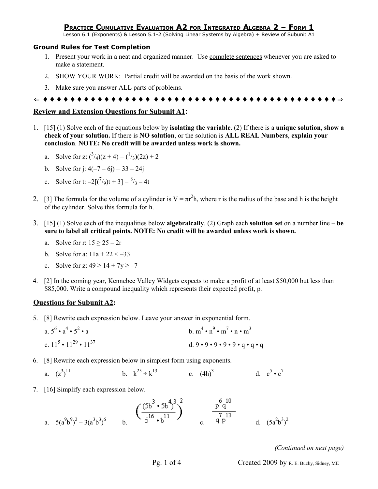## **PRACTICE CUMULATIVE EVALUATION A2 FOR INTEGRATED ALGEBRA 2 – FORM 1**

Lesson 6.1 (Exponents) & Lesson 5.1-2 (Solving Linear Systems by Algebra) + Review of Subunit A1

## **Ground Rules for Test Completion**

- 1. Present your work in a neat and organized manner. Use complete sentences whenever you are asked to make a statement.
- 2. SHOW YOUR WORK: Partial credit will be awarded on the basis of the work shown.
- 3. Make sure you answer ALL parts of problems.

⇐ ♦ ♦ ♦ ♦ ♦ ♦ ♦ ♦ ♦ ♦ ♦ ♦ ♦ ♦ ♦ ♦ ♦ ♦ ♦ ♦ ♦ ♦ ♦ ♦ ♦ ♦ ♦ ♦ ♦ ♦ ♦ ♦ ♦ ♦ ♦ ♦ ♦ ♦ ♦ ♦ ♦ ♦ ♦ ⇒

## **Review and Extension Questions for Subunit A1:**

1. [15] (1) Solve each of the equations below by **isolating the variable**. (2) If there is a **unique solution**, **show a check of your solution.** If there is **NO solution**, or the solution is **ALL REAL Numbers**, **explain your conclusion**. **NOTE: No credit will be awarded unless work is shown.**

a. Solve for z: 
$$
(3/4)(z+4) = (1/3)(2z) + 2
$$

- b. Solve for j:  $4(-7 6i) = 33 24i$
- c. Solve for t:  $-2[(7/9)t + 3] = \frac{8}{3} 4t$
- 2. [3] The formula for the volume of a cylinder is  $V = \pi r^2 h$ , where r is the radius of the base and h is the height of the cylinder. Solve this formula for h.
- 3. [15] (1) Solve each of the inequalities below **algebraically**. (2) Graph each **solution set** on a number line **be sure to label all critical points. NOTE: No credit will be awarded unless work is shown.**
	- a. Solve for r:  $15 > 25 2r$
	- b. Solve for a:  $11a + 22 < -33$
	- c. Solve for z:  $49 \ge 14 + 7y \ge -7$
- 4. [2] In the coming year, Kennebec Valley Widgets expects to make a profit of at least \$50,000 but less than \$85,000. Write a compound inequality which represents their expected profit, p.

## **Questions for Subunit A2:**

- 5. [8] Rewrite each expression below. Leave your answer in exponential form.
	- a.  $5^6 \cdot a^4 \cdot 5^2$ • a b.  $m^4 \cdot n^9 \cdot m^7 \cdot n \cdot m^3$ c.  $11^5 \cdot 11^{29} \cdot 11^{37}$ d.  $9 \cdot 9 \cdot 9 \cdot 9 \cdot 9 \cdot q \cdot q \cdot q$
- 6. [8] Rewrite each expression below in simplest form using exponents.
	- a.  $(z^3)$ 11 b.  $k^{25} \div k^{13}$ c.  $(4h)^3$ d.  $c^5 \cdot c^7$
- 7. [16] Simplify each expression below.

a. 
$$
5(a^9b^9)^2 - 3(a^3b^3)^6
$$
 b.  $\left(\frac{(5b^3 \cdot 5b^4)^3}{5^{16} \cdot b^{11}}\right)^2$  c.  $\frac{p^6q}{q^7 p^1}$  d.  $(5a^2b^3)^2$ 

*(Continued on next page)*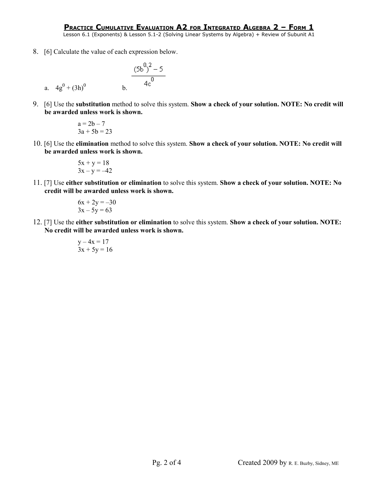Lesson 6.1 (Exponents) & Lesson 5.1-2 (Solving Linear Systems by Algebra) + Review of Subunit A1

8. [6] Calculate the value of each expression below.

a. 
$$
4g^0 + (3h)^0
$$
 b. 
$$
\frac{(5b^0)^2 - 5}{4c^0}
$$

9. [6] Use the **substitution** method to solve this system. **Show a check of your solution. NOTE: No credit will be awarded unless work is shown.**

$$
a = 2b - 7
$$
  
3a + 5b = 23

10. [6] Use the **elimination** method to solve this system. **Show a check of your solution. NOTE: No credit will be awarded unless work is shown.**

$$
5x + y = 18
$$

$$
3x - y = -42
$$

11. [7] Use **either substitution or elimination** to solve this system. **Show a check of your solution. NOTE: No credit will be awarded unless work is shown.**

$$
6x + 2y = -30
$$
  

$$
3x - 5y = 63
$$

12. [7] Use the **either substitution or elimination** to solve this system. **Show a check of your solution. NOTE: No credit will be awarded unless work is shown.**

$$
y-4x = 17
$$
  
3x + 5y = 16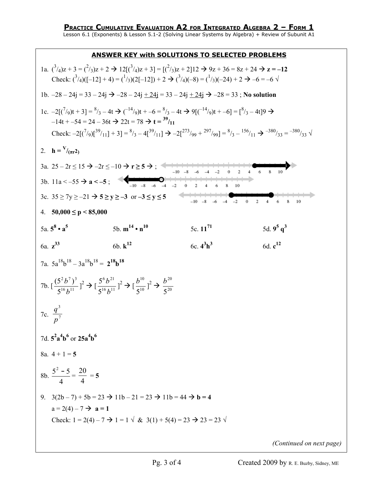Lesson 6.1 (Exponents) & Lesson 5.1-2 (Solving Linear Systems by Algebra) + Review of Subunit A1